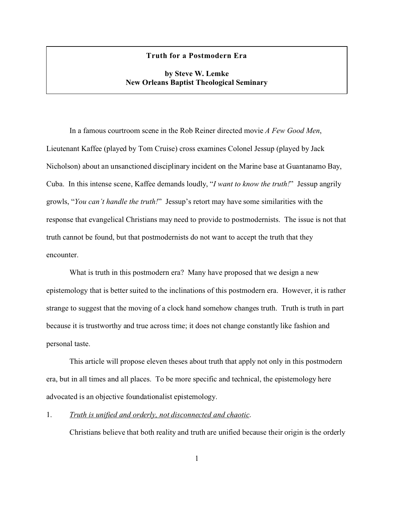### **Truth for a Postmodern Era**

# **by Steve W. Lemke New Orleans Baptist Theological Seminary**

In a famous courtroom scene in the Rob Reiner directed movie *A Few Good Men*, Lieutenant Kaffee (played by Tom Cruise) cross examines Colonel Jessup (played by Jack Nicholson) about an unsanctioned disciplinary incident on the Marine base at Guantanamo Bay, Cuba. In this intense scene, Kaffee demands loudly, "*I want to know the truth!*" Jessup angrily growls, "*You can't handle the truth!*" Jessup's retort may have some similarities with the response that evangelical Christians may need to provide to postmodernists. The issue is not that truth cannot be found, but that postmodernists do not want to accept the truth that they encounter.

What is truth in this postmodern era? Many have proposed that we design a new epistemology that is better suited to the inclinations of this postmodern era. However, it is rather strange to suggest that the moving of a clock hand somehow changes truth. Truth is truth in part because it is trustworthy and true across time; it does not change constantly like fashion and personal taste.

This article will propose eleven theses about truth that apply not only in this postmodern era, but in all times and all places. To be more specific and technical, the epistemology here advocated is an objective foundationalist epistemology.

1. *Truth is unified and orderly, not disconnected and chaotic*.

Christians believe that both reality and truth are unified because their origin is the orderly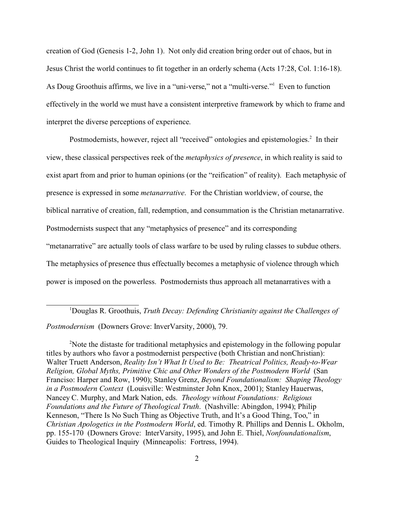creation of God (Genesis 1-2, John 1). Not only did creation bring order out of chaos, but in Jesus Christ the world continues to fit together in an orderly schema (Acts 17:28, Col. 1:16-18). As Doug Groothuis affirms, we live in a "uni-verse," not a "multi-verse."<sup>1</sup> Even to function effectively in the world we must have a consistent interpretive framework by which to frame and interpret the diverse perceptions of experience.

Postmodernists, however, reject all "received" ontologies and epistemologies.<sup>2</sup> In their view, these classical perspectives reek of the *metaphysics of presence*, in which reality is said to exist apart from and prior to human opinions (or the "reification" of reality). Each metaphysic of presence is expressed in some *metanarrative*. For the Christian worldview, of course, the biblical narrative of creation, fall, redemption, and consummation is the Christian metanarrative. Postmodernists suspect that any "metaphysics of presence" and its corresponding "metanarrative" are actually tools of class warfare to be used by ruling classes to subdue others. The metaphysics of presence thus effectually becomes a metaphysic of violence through which power is imposed on the powerless. Postmodernists thus approach all metanarratives with a

*Postmodernism* (Downers Grove: InverVarsity, 2000), 79.

<sup>2</sup>Note the distaste for traditional metaphysics and epistemology in the following popular titles by authors who favor a postmodernist perspective (both Christian and nonChristian): Walter Truett Anderson, *Reality Isn't What It Used to Be: Theatrical Politics, Ready-to-Wear Religion, Global Myths, Primitive Chic and Other Wonders of the Postmodern World* (San Franciso: Harper and Row, 1990); Stanley Grenz, *Beyond Foundationalism: Shaping Theology in a Postmodern Context* (Louisville: Westminster John Knox, 2001); Stanley Hauerwas, Nancey C. Murphy, and Mark Nation, eds. *Theology without Foundations: Religious Foundations and the Future of Theological Truth*. (Nashville: Abingdon, 1994); Philip Kenneson, "There Is No Such Thing as Objective Truth, and It's a Good Thing, Too," in *Christian Apologetics in the Postmodern World*, ed. Timothy R. Phillips and Dennis L. Okholm, pp. 155-170 (Downers Grove: InterVarsity, 1995), and John E. Thiel, *Nonfoundationalism*, Guides to Theological Inquiry (Minneapolis: Fortress, 1994).

<sup>1</sup>Douglas R. Groothuis, *Truth Decay: Defending Christianity against the Challenges of*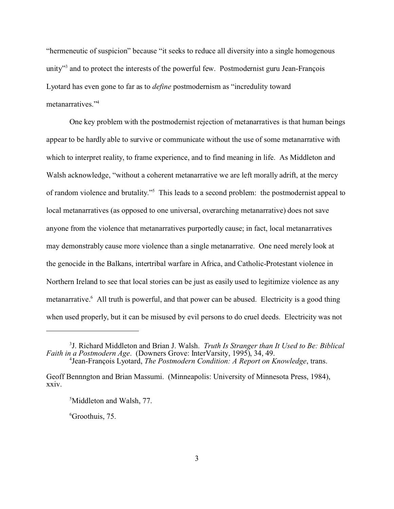"hermeneutic of suspicion" because "it seeks to reduce all diversity into a single homogenous unity"<sup>3</sup> and to protect the interests of the powerful few. Postmodernist guru Jean-François Lyotard has even gone to far as to *define* postmodernism as "incredulity toward metanarratives<sup>"4</sup>

One key problem with the postmodernist rejection of metanarratives is that human beings appear to be hardly able to survive or communicate without the use of some metanarrative with which to interpret reality, to frame experience, and to find meaning in life. As Middleton and Walsh acknowledge, "without a coherent metanarrative we are left morally adrift, at the mercy of random violence and brutality."<sup>5</sup> This leads to a second problem: the postmodernist appeal to local metanarratives (as opposed to one universal, overarching metanarrative) does not save anyone from the violence that metanarratives purportedly cause; in fact, local metanarratives may demonstrably cause more violence than a single metanarrative. One need merely look at the genocide in the Balkans, intertribal warfare in Africa, and Catholic-Protestant violence in Northern Ireland to see that local stories can be just as easily used to legitimize violence as any metanarrative.<sup>6</sup> All truth is powerful, and that power can be abused. Electricity is a good thing when used properly, but it can be misused by evil persons to do cruel deeds. Electricity was not

<sup>3</sup> J. Richard Middleton and Brian J. Walsh. *Truth Is Stranger than It Used to Be: Biblical Faith in a Postmodern Age*. (Downers Grove: InterVarsity, 1995), 34, 49. 4 Jean-François Lyotard, *The Postmodern Condition: A Report on Knowledge*, trans.

Geoff Bennngton and Brian Massumi. (Minneapolis: University of Minnesota Press, 1984), xxiv.

<sup>&</sup>lt;sup>5</sup>Middleton and Walsh, 77.

 $6$ Groothuis, 75.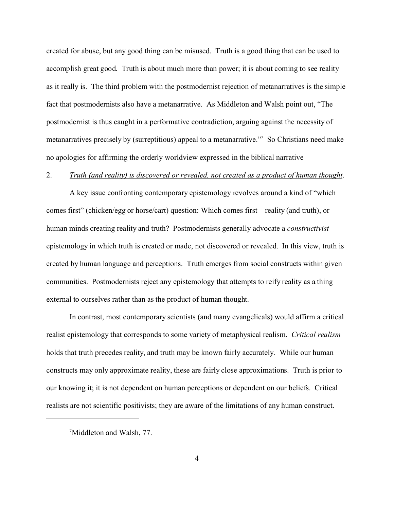created for abuse, but any good thing can be misused. Truth is a good thing that can be used to accomplish great good. Truth is about much more than power; it is about coming to see reality as it really is. The third problem with the postmodernist rejection of metanarratives is the simple fact that postmodernists also have a metanarrative. As Middleton and Walsh point out, "The postmodernist is thus caught in a performative contradiction, arguing against the necessity of metanarratives precisely by (surreptitious) appeal to a metanarrative."<sup>7</sup> So Christians need make no apologies for affirming the orderly worldview expressed in the biblical narrative

## 2. *Truth (and reality) is discovered or revealed, not created as a product of human thought*.

A key issue confronting contemporary epistemology revolves around a kind of "which comes first" (chicken/egg or horse/cart) question: Which comes first – reality (and truth), or human minds creating reality and truth? Postmodernists generally advocate a *constructivist* epistemology in which truth is created or made, not discovered or revealed. In this view, truth is created by human language and perceptions. Truth emerges from social constructs within given communities. Postmodernists reject any epistemology that attempts to reify reality as a thing external to ourselves rather than as the product of human thought.

In contrast, most contemporary scientists (and many evangelicals) would affirm a critical realist epistemology that corresponds to some variety of metaphysical realism. *Critical realism* holds that truth precedes reality, and truth may be known fairly accurately. While our human constructs may only approximate reality, these are fairly close approximations. Truth is prior to our knowing it; it is not dependent on human perceptions or dependent on our beliefs. Critical realists are not scientific positivists; they are aware of the limitations of any human construct.

<sup>7</sup>Middleton and Walsh, 77.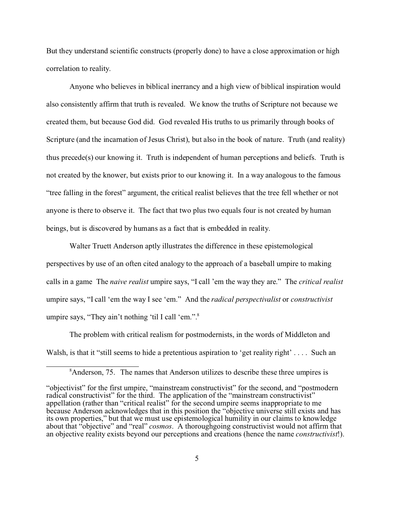But they understand scientific constructs (properly done) to have a close approximation or high correlation to reality.

Anyone who believes in biblical inerrancy and a high view of biblical inspiration would also consistently affirm that truth is revealed. We know the truths of Scripture not because we created them, but because God did. God revealed His truths to us primarily through books of Scripture (and the incarnation of Jesus Christ), but also in the book of nature. Truth (and reality) thus precede(s) our knowing it. Truth is independent of human perceptions and beliefs. Truth is not created by the knower, but exists prior to our knowing it. In a way analogous to the famous "tree falling in the forest" argument, the critical realist believes that the tree fell whether or not anyone is there to observe it. The fact that two plus two equals four is not created by human beings, but is discovered by humans as a fact that is embedded in reality.

Walter Truett Anderson aptly illustrates the difference in these epistemological perspectives by use of an often cited analogy to the approach of a baseball umpire to making calls in a game The *naive realist* umpire says, "I call 'em the way they are." The *critical realist* umpire says, "I call 'em the way I see 'em." And the *radical perspectivalist* or *constructivist* umpire says, "They ain't nothing 'til I call 'em.".<sup>8</sup>

The problem with critical realism for postmodernists, in the words of Middleton and Walsh, is that it "still seems to hide a pretentious aspiration to 'get reality right' . . . . Such an

<sup>&</sup>lt;sup>8</sup>Anderson, 75. The names that Anderson utilizes to describe these three umpires is

<sup>&</sup>quot;objectivist" for the first umpire, "mainstream constructivist" for the second, and "postmodern radical constructivist" for the third. The application of the "mainstream constructivist" appellation (rather than "critical realist" for the second umpire seems inappropriate to me because Anderson acknowledges that in this position the "objective universe still exists and has its own properties," but that we must use epistemological humility in our claims to knowledge about that "objective" and "real" *cosmos*. A thoroughgoing constructivist would not affirm that an objective reality exists beyond our perceptions and creations (hence the name *constructivist*!).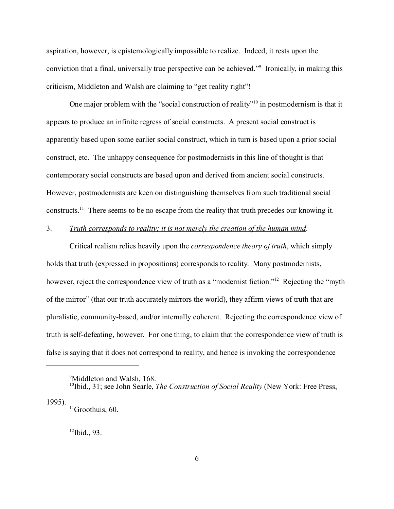aspiration, however, is epistemologically impossible to realize. Indeed, it rests upon the conviction that a final, universally true perspective can be achieved."<sup>9</sup> Ironically, in making this criticism, Middleton and Walsh are claiming to "get reality right"!

One major problem with the "social construction of reality"<sup>10</sup> in postmodernism is that it appears to produce an infinite regress of social constructs. A present social construct is apparently based upon some earlier social construct, which in turn is based upon a prior social construct, etc. The unhappy consequence for postmodernists in this line of thought is that contemporary social constructs are based upon and derived from ancient social constructs. However, postmodernists are keen on distinguishing themselves from such traditional social constructs.<sup>11</sup> There seems to be no escape from the reality that truth precedes our knowing it.

## 3. *Truth corresponds to reality; it is not merely the creation of the human mind*.

Critical realism relies heavily upon the *correspondence theory of truth*, which simply holds that truth (expressed in propositions) corresponds to reality. Many postmodernists, however, reject the correspondence view of truth as a "modernist fiction."<sup>12</sup> Rejecting the "myth" of the mirror" (that our truth accurately mirrors the world), they affirm views of truth that are pluralistic, community-based, and/or internally coherent. Rejecting the correspondence view of truth is self-defeating, however. For one thing, to claim that the correspondence view of truth is false is saying that it does not correspond to reality, and hence is invoking the correspondence

1995).

 $12$ Ibid., 93.

<sup>&</sup>lt;sup>9</sup>Middleton and Walsh, 168.

<sup>10</sup>Ibid., 31; see John Searle, *The Construction of Social Reality* (New York: Free Press,

<sup>&</sup>lt;sup>11</sup>Groothuis, 60.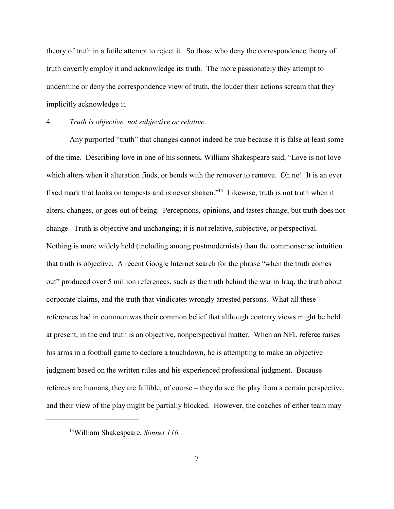theory of truth in a futile attempt to reject it. So those who deny the correspondence theory of truth covertly employ it and acknowledge its truth. The more passionately they attempt to undermine or deny the correspondence view of truth, the louder their actions scream that they implicitly acknowledge it.

### 4. *Truth is objective, not subjective or relative*.

Any purported "truth" that changes cannot indeed be true because it is false at least some of the time. Describing love in one of his sonnets, William Shakespeare said, "Love is not love which alters when it alteration finds, or bends with the remover to remove. Oh no! It is an ever fixed mark that looks on tempests and is never shaken."<sup>13</sup> Likewise, truth is not truth when it alters, changes, or goes out of being. Perceptions, opinions, and tastes change, but truth does not change. Truth is objective and unchanging; it is not relative, subjective, or perspectival. Nothing is more widely held (including among postmodernists) than the commonsense intuition that truth is objective. A recent Google Internet search for the phrase "when the truth comes out" produced over 5 million references, such as the truth behind the war in Iraq, the truth about corporate claims, and the truth that vindicates wrongly arrested persons. What all these references had in common was their common belief that although contrary views might be held at present, in the end truth is an objective, nonperspectival matter. When an NFL referee raises his arms in a football game to declare a touchdown, he is attempting to make an objective judgment based on the written rules and his experienced professional judgment. Because referees are humans, they are fallible, of course – they do see the play from a certain perspective, and their view of the play might be partially blocked. However, the coaches of either team may

<sup>13</sup>William Shakespeare, *Sonnet 116.*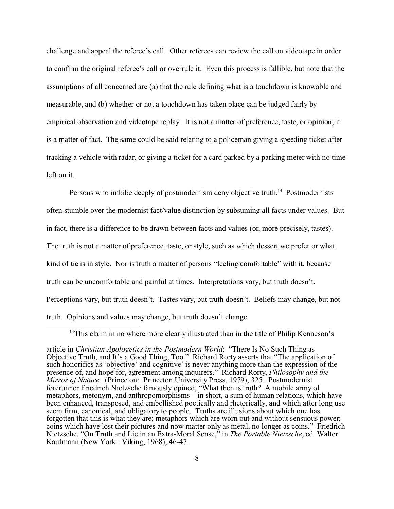challenge and appeal the referee's call. Other referees can review the call on videotape in order to confirm the original referee's call or overrule it. Even this process is fallible, but note that the assumptions of all concerned are (a) that the rule defining what is a touchdown is knowable and measurable, and (b) whether or not a touchdown has taken place can be judged fairly by empirical observation and videotape replay. It is not a matter of preference, taste, or opinion; it is a matter of fact. The same could be said relating to a policeman giving a speeding ticket after tracking a vehicle with radar, or giving a ticket for a card parked by a parking meter with no time left on it.

Persons who imbibe deeply of postmodernism deny objective truth.<sup>14</sup> Postmodernists often stumble over the modernist fact/value distinction by subsuming all facts under values. But in fact, there is a difference to be drawn between facts and values (or, more precisely, tastes). The truth is not a matter of preference, taste, or style, such as which dessert we prefer or what kind of tie is in style. Nor is truth a matter of persons "feeling comfortable" with it, because truth can be uncomfortable and painful at times. Interpretations vary, but truth doesn't. Perceptions vary, but truth doesn't. Tastes vary, but truth doesn't. Beliefs may change, but not truth. Opinions and values may change, but truth doesn't change.

<sup>14</sup>This claim in no where more clearly illustrated than in the title of Philip Kenneson's

article in *Christian Apologetics in the Postmodern World*: "There Is No Such Thing as Objective Truth, and It's a Good Thing, Too." Richard Rorty asserts that "The application of such honorifics as 'objective' and cognitive' is never anything more than the expression of the presence of, and hope for, agreement among inquirers." Richard Rorty, *Philosophy and the Mirror of Nature*. (Princeton: Princeton University Press, 1979), 325. Postmodernist forerunner Friedrich Nietzsche famously opined, "What then is truth? A mobile army of metaphors, metonym, and anthropomorphisms – in short, a sum of human relations, which have been enhanced, transposed, and embellished poetically and rhetorically, and which after long use seem firm, canonical, and obligatory to people. Truths are illusions about which one has forgotten that this is what they are; metaphors which are worn out and without sensuous power; coins which have lost their pictures and now matter only as metal, no longer as coins." Friedrich Nietzsche, "On Truth and Lie in an Extra-Moral Sense," in *The Portable Nietzsche*, ed. Walter Kaufmann (New York: Viking, 1968), 46-47.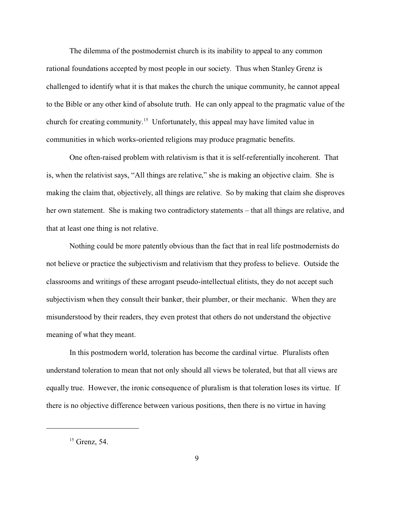The dilemma of the postmodernist church is its inability to appeal to any common rational foundations accepted by most people in our society. Thus when Stanley Grenz is challenged to identify what it is that makes the church the unique community, he cannot appeal to the Bible or any other kind of absolute truth. He can only appeal to the pragmatic value of the church for creating community.<sup>15</sup> Unfortunately, this appeal may have limited value in communities in which works-oriented religions may produce pragmatic benefits.

One often-raised problem with relativism is that it is self-referentially incoherent. That is, when the relativist says, "All things are relative," she is making an objective claim. She is making the claim that, objectively, all things are relative. So by making that claim she disproves her own statement. She is making two contradictory statements – that all things are relative, and that at least one thing is not relative.

Nothing could be more patently obvious than the fact that in real life postmodernists do not believe or practice the subjectivism and relativism that they profess to believe. Outside the classrooms and writings of these arrogant pseudo-intellectual elitists, they do not accept such subjectivism when they consult their banker, their plumber, or their mechanic. When they are misunderstood by their readers, they even protest that others do not understand the objective meaning of what they meant.

In this postmodern world, toleration has become the cardinal virtue. Pluralists often understand toleration to mean that not only should all views be tolerated, but that all views are equally true. However, the ironic consequence of pluralism is that toleration loses its virtue. If there is no objective difference between various positions, then there is no virtue in having

 $<sup>15</sup>$  Grenz, 54.</sup>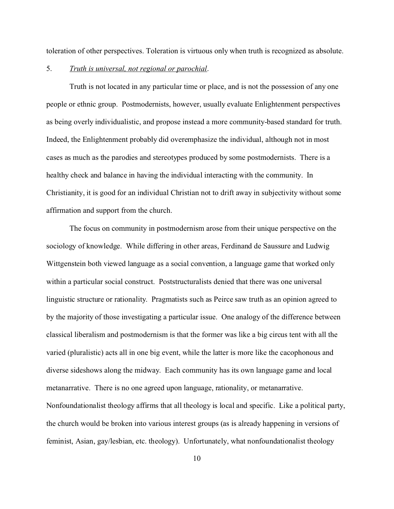toleration of other perspectives. Toleration is virtuous only when truth is recognized as absolute.

## 5. *Truth is universal, not regional or parochial*.

Truth is not located in any particular time or place, and is not the possession of any one people or ethnic group. Postmodernists, however, usually evaluate Enlightenment perspectives as being overly individualistic, and propose instead a more community-based standard for truth. Indeed, the Enlightenment probably did overemphasize the individual, although not in most cases as much as the parodies and stereotypes produced by some postmodernists. There is a healthy check and balance in having the individual interacting with the community. In Christianity, it is good for an individual Christian not to drift away in subjectivity without some affirmation and support from the church.

The focus on community in postmodernism arose from their unique perspective on the sociology of knowledge. While differing in other areas, Ferdinand de Saussure and Ludwig Wittgenstein both viewed language as a social convention, a language game that worked only within a particular social construct. Poststructuralists denied that there was one universal linguistic structure or rationality. Pragmatists such as Peirce saw truth as an opinion agreed to by the majority of those investigating a particular issue. One analogy of the difference between classical liberalism and postmodernism is that the former was like a big circus tent with all the varied (pluralistic) acts all in one big event, while the latter is more like the cacophonous and diverse sideshows along the midway. Each community has its own language game and local metanarrative. There is no one agreed upon language, rationality, or metanarrative. Nonfoundationalist theology affirms that all theology is local and specific. Like a political party, the church would be broken into various interest groups (as is already happening in versions of feminist, Asian, gay/lesbian, etc. theology). Unfortunately, what nonfoundationalist theology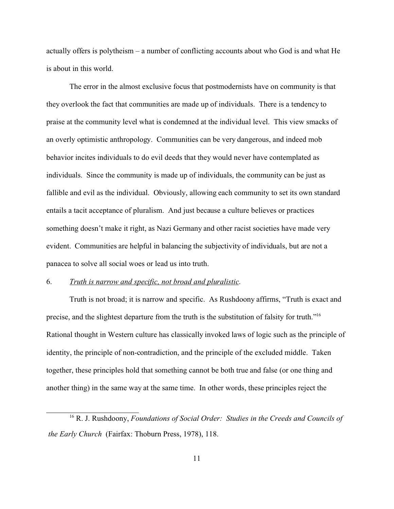actually offers is polytheism – a number of conflicting accounts about who God is and what He is about in this world.

The error in the almost exclusive focus that postmodernists have on community is that they overlook the fact that communities are made up of individuals. There is a tendency to praise at the community level what is condemned at the individual level. This view smacks of an overly optimistic anthropology. Communities can be very dangerous, and indeed mob behavior incites individuals to do evil deeds that they would never have contemplated as individuals. Since the community is made up of individuals, the community can be just as fallible and evil as the individual. Obviously, allowing each community to set its own standard entails a tacit acceptance of pluralism. And just because a culture believes or practices something doesn't make it right, as Nazi Germany and other racist societies have made very evident. Communities are helpful in balancing the subjectivity of individuals, but are not a panacea to solve all social woes or lead us into truth.

#### 6. *Truth is narrow and specific, not broad and pluralistic*.

Truth is not broad; it is narrow and specific. As Rushdoony affirms, "Truth is exact and precise, and the slightest departure from the truth is the substitution of falsity for truth."<sup>16</sup> Rational thought in Western culture has classically invoked laws of logic such as the principle of identity, the principle of non-contradiction, and the principle of the excluded middle. Taken together, these principles hold that something cannot be both true and false (or one thing and another thing) in the same way at the same time. In other words, these principles reject the

<sup>16</sup> R. J. Rushdoony, *Foundations of Social Order: Studies in the Creeds and Councils of the Early Church* (Fairfax: Thoburn Press, 1978), 118.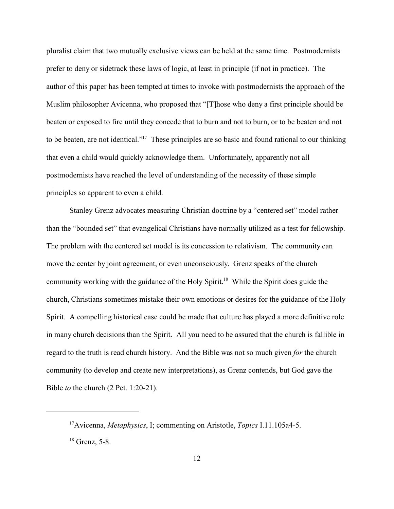pluralist claim that two mutually exclusive views can be held at the same time. Postmodernists prefer to deny or sidetrack these laws of logic, at least in principle (if not in practice). The author of this paper has been tempted at times to invoke with postmodernists the approach of the Muslim philosopher Avicenna, who proposed that "[T]hose who deny a first principle should be beaten or exposed to fire until they concede that to burn and not to burn, or to be beaten and not to be beaten, are not identical."<sup>17</sup> These principles are so basic and found rational to our thinking that even a child would quickly acknowledge them. Unfortunately, apparently not all postmodernists have reached the level of understanding of the necessity of these simple principles so apparent to even a child.

Stanley Grenz advocates measuring Christian doctrine by a "centered set" model rather than the "bounded set" that evangelical Christians have normally utilized as a test for fellowship. The problem with the centered set model is its concession to relativism. The community can move the center by joint agreement, or even unconsciously. Grenz speaks of the church community working with the guidance of the Holy Spirit.<sup>18</sup> While the Spirit does guide the church, Christians sometimes mistake their own emotions or desires for the guidance of the Holy Spirit. A compelling historical case could be made that culture has played a more definitive role in many church decisions than the Spirit. All you need to be assured that the church is fallible in regard to the truth is read church history. And the Bible was not so much given *for* the church community (to develop and create new interpretations), as Grenz contends, but God gave the Bible *to* the church (2 Pet. 1:20-21).

<sup>17</sup>Avicenna, *Metaphysics*, I; commenting on Aristotle, *Topics* I.11.105a4-5.  $18$  Grenz, 5-8.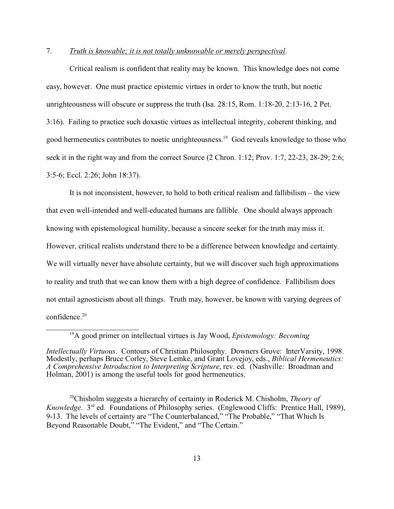## 7. *Truth is knowable; it is not totally unknowable or merely perspectival*.

Critical realism is confident that reality may be known. This knowledge does not come easy, however. One must practice epistemic virtues in order to know the truth, but noetic unrighteousness will obscure or suppress the truth (Isa. 28:15, Rom. 1:18-20, 2:13-16, 2 Pet. 3:16). Failing to practice such doxastic virtues as intellectual integrity, coherent thinking, and good hermeneutics contributes to noetic unrighteousness.<sup>19</sup> God reveals knowledge to those who seek it in the right way and from the correct Source (2 Chron. 1:12; Prov. 1:7, 22-23, 28-29; 2:6; 3:5-6; Eccl. 2:26; John 18:37).

It is not inconsistent, however, to hold to both critical realism and fallibilism – the view that even well-intended and well-educated humans are fallible. One should always approach knowing with epistemological humility, because a sincere seeker for the truth may miss it. However, critical realists understand there to be a difference between knowledge and certainty. We will virtually never have absolute certainty, but we will discover such high approximations to reality and truth that we can know them with a high degree of confidence. Fallibilism does not entail agnosticism about all things. Truth may, however, be known with varying degrees of confidence.<sup>20</sup>

<sup>20</sup>Chisholm suggests a hierarchy of certainty in Roderick M. Chisholm, *Theory of Knowledge*. 3<sup>rd</sup> ed. Foundations of Philosophy series. (Englewood Cliffs: Prentice Hall, 1989), 9-13. The levels of certainty are "The Counterbalanced," "The Probable," "That Which Is Beyond Reasonable Doubt," "The Evident," and "The Certain."

<sup>19</sup>A good primer on intellectual virtues is Jay Wood, *Epistemology: Becoming*

*Intellectually Virtuous*. Contours of Christian Philosophy. Downers Grove: InterVarsity, 1998. Modestly, perhaps Bruce Corley, Steve Lemke, and Grant Lovejoy, eds., *Biblical Hermeneutics: A Comprehensive Introduction to Interpreting Scripture*, rev. ed. (Nashville: Broadman and Holman, 2001) is among the useful tools for good hermeneutics.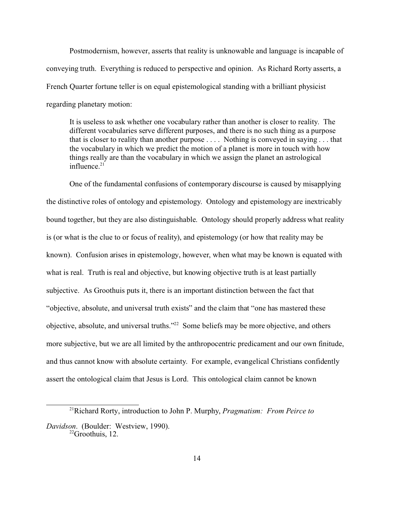Postmodernism, however, asserts that reality is unknowable and language is incapable of conveying truth. Everything is reduced to perspective and opinion. As Richard Rorty asserts, a French Quarter fortune teller is on equal epistemological standing with a brilliant physicist regarding planetary motion:

It is useless to ask whether one vocabulary rather than another is closer to reality. The different vocabularies serve different purposes, and there is no such thing as a purpose that is closer to reality than another purpose . . . . Nothing is conveyed in saying . . . that the vocabulary in which we predict the motion of a planet is more in touch with how things really are than the vocabulary in which we assign the planet an astrological influence. $21$ 

One of the fundamental confusions of contemporary discourse is caused by misapplying the distinctive roles of ontology and epistemology. Ontology and epistemology are inextricably bound together, but they are also distinguishable. Ontology should properly address what reality is (or what is the clue to or focus of reality), and epistemology (or how that reality may be known). Confusion arises in epistemology, however, when what may be known is equated with what is real. Truth is real and objective, but knowing objective truth is at least partially subjective. As Groothuis puts it, there is an important distinction between the fact that "objective, absolute, and universal truth exists" and the claim that "one has mastered these objective, absolute, and universal truths."<sup>22</sup> Some beliefs may be more objective, and others more subjective, but we are all limited by the anthropocentric predicament and our own finitude, and thus cannot know with absolute certainty. For example, evangelical Christians confidently assert the ontological claim that Jesus is Lord. This ontological claim cannot be known

<sup>21</sup>Richard Rorty, introduction to John P. Murphy, *Pragmatism: From Peirce to Davidson*. (Boulder: Westview, 1990).  $^{22}$ Groothuis, 12.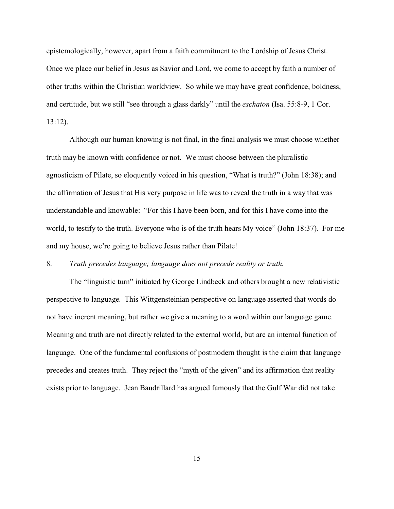epistemologically, however, apart from a faith commitment to the Lordship of Jesus Christ. Once we place our belief in Jesus as Savior and Lord, we come to accept by faith a number of other truths within the Christian worldview. So while we may have great confidence, boldness, and certitude, but we still "see through a glass darkly" until the *eschaton* (Isa. 55:8-9, 1 Cor. 13:12).

Although our human knowing is not final, in the final analysis we must choose whether truth may be known with confidence or not. We must choose between the pluralistic agnosticism of Pilate, so eloquently voiced in his question, "What is truth?" (John 18:38); and the affirmation of Jesus that His very purpose in life was to reveal the truth in a way that was understandable and knowable: "For this I have been born, and for this I have come into the world, to testify to the truth. Everyone who is of the truth hears My voice" (John 18:37). For me and my house, we're going to believe Jesus rather than Pilate!

## 8. *Truth precedes language; language does not precede reality or truth*.

The "linguistic turn" initiated by George Lindbeck and others brought a new relativistic perspective to language. This Wittgensteinian perspective on language asserted that words do not have inerent meaning, but rather we give a meaning to a word within our language game. Meaning and truth are not directly related to the external world, but are an internal function of language. One of the fundamental confusions of postmodern thought is the claim that language precedes and creates truth. They reject the "myth of the given" and its affirmation that reality exists prior to language. Jean Baudrillard has argued famously that the Gulf War did not take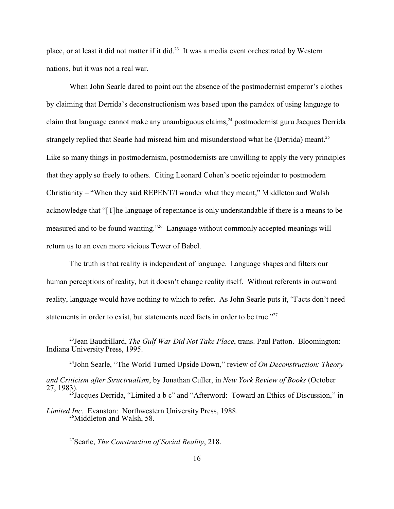place, or at least it did not matter if it did.<sup>23</sup> It was a media event orchestrated by Western nations, but it was not a real war.

When John Searle dared to point out the absence of the postmodernist emperor's clothes by claiming that Derrida's deconstructionism was based upon the paradox of using language to claim that language cannot make any unambiguous claims,  $24$  postmodernist guru Jacques Derrida strangely replied that Searle had misread him and misunderstood what he (Derrida) meant.<sup>25</sup> Like so many things in postmodernism, postmodernists are unwilling to apply the very principles that they apply so freely to others. Citing Leonard Cohen's poetic rejoinder to postmodern Christianity – "When they said REPENT/I wonder what they meant," Middleton and Walsh acknowledge that "[T]he language of repentance is only understandable if there is a means to be measured and to be found wanting."<sup>26</sup> Language without commonly accepted meanings will return us to an even more vicious Tower of Babel.

The truth is that reality is independent of language. Language shapes and filters our human perceptions of reality, but it doesn't change reality itself. Without referents in outward reality, language would have nothing to which to refer. As John Searle puts it, "Facts don't need statements in order to exist, but statements need facts in order to be true."<sup>27</sup>

<sup>27</sup>Searle, *The Construction of Social Reality*, 218.

<sup>23</sup>Jean Baudrillard, *The Gulf War Did Not Take Place*, trans. Paul Patton. Bloomington: Indiana University Press, 1995.

<sup>24</sup>John Searle, "The World Turned Upside Down," review of *On Deconstruction: Theory*

*and Criticism after Structrualism*, by Jonathan Culler, in *New York Review of Books* (October 27, 1983).

 $^{25}$ Jacques Derrida, "Limited a b c" and "Afterword: Toward an Ethics of Discussion," in

*Limited Inc*. Evanston: Northwestern University Press, 1988. <sup>26</sup>Middleton and Walsh, 58.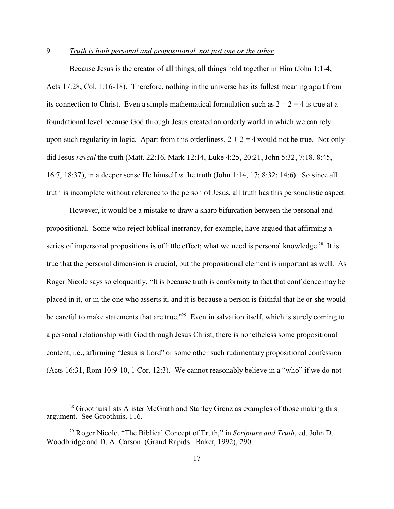## 9. *Truth is both personal and propositional, not just one or the other.*

Because Jesus is the creator of all things, all things hold together in Him (John 1:1-4, Acts 17:28, Col. 1:16-18). Therefore, nothing in the universe has its fullest meaning apart from its connection to Christ. Even a simple mathematical formulation such as  $2 + 2 = 4$  is true at a foundational level because God through Jesus created an orderly world in which we can rely upon such regularity in logic. Apart from this orderliness,  $2 + 2 = 4$  would not be true. Not only did Jesus *reveal* the truth (Matt. 22:16, Mark 12:14, Luke 4:25, 20:21, John 5:32, 7:18, 8:45, 16:7, 18:37), in a deeper sense He himself *is* the truth (John 1:14, 17; 8:32; 14:6). So since all truth is incomplete without reference to the person of Jesus, all truth has this personalistic aspect.

However, it would be a mistake to draw a sharp bifurcation between the personal and propositional. Some who reject biblical inerrancy, for example, have argued that affirming a series of impersonal propositions is of little effect; what we need is personal knowledge.<sup>28</sup> It is true that the personal dimension is crucial, but the propositional element is important as well. As Roger Nicole says so eloquently, "It is because truth is conformity to fact that confidence may be placed in it, or in the one who asserts it, and it is because a person is faithful that he or she would be careful to make statements that are true."<sup>29</sup> Even in salvation itself, which is surely coming to a personal relationship with God through Jesus Christ, there is nonetheless some propositional content, i.e., affirming "Jesus is Lord" or some other such rudimentary propositional confession (Acts 16:31, Rom 10:9-10, 1 Cor. 12:3). We cannot reasonably believe in a "who" if we do not

<sup>&</sup>lt;sup>28</sup> Groothuis lists Alister McGrath and Stanley Grenz as examples of those making this argument. See Groothuis, 116.

<sup>29</sup> Roger Nicole, "The Biblical Concept of Truth," in *Scripture and Truth*, ed. John D. Woodbridge and D. A. Carson (Grand Rapids: Baker, 1992), 290.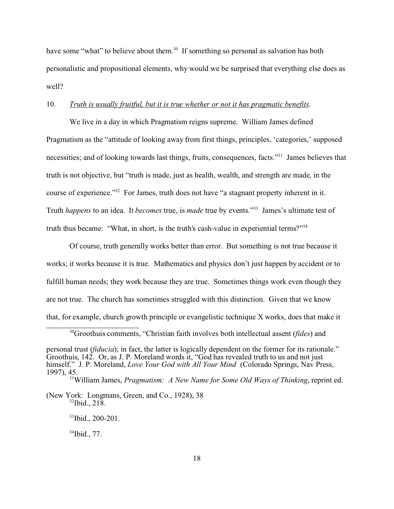have some "what" to believe about them.<sup>30</sup> If something so personal as salvation has both personalistic and propositional elements, why would we be surprised that everything else does as well?

### 10. *Truth is usually fruitful, but it is true whether or not it has pragmatic benefits*.

We live in a day in which Pragmatism reigns supreme. William James defined Pragmatism as the "attitude of looking away from first things, principles, 'categories,' supposed necessities; and of looking towards last things, fruits, consequences, facts."<sup>31</sup> James believes that truth is not objective, but "truth is made, just as health, wealth, and strength are made, in the course of experience."<sup>32</sup> For James, truth does not have "a stagnant property inherent in it. Truth *happens* to an idea. It *becomes* true, is *made* true by events."<sup>33</sup> James's ultimate test of truth thus became: "What, in short, is the truth's cash-value in experiential terms?"<sup>34</sup>

Of course, truth generally works better than error. But something is not true because it works; it works because it is true. Mathematics and physics don't just happen by accident or to fulfill human needs; they work because they are true. Sometimes things work even though they are not true. The church has sometimes struggled with this distinction. Given that we know that, for example, church growth principle or evangelistic technique X works, does that make it

<sup>30</sup>Groothuis comments, "Christian faith involves both intellectual assent (*fides*) and

(New York: Longmans, Green, and Co., 1928), 38  $32$ Ibid., 218.

<sup>33</sup>Ibid., 200-201.

 $34$ Ibid., 77.

personal trust (*fiducia*); in fact, the latter is logically dependent on the former for its rationale." Groothuis, 142. Or, as J. P. Moreland words it, "God has revealed truth to us and not just himself." J. P. Moreland, *Love Your God with All Your Mind* (Colorado Springs, Nav Press, 1997), 45.

<sup>31</sup>William James, *Pragmatism: A New Name for Some Old Ways of Thinking*, reprint ed.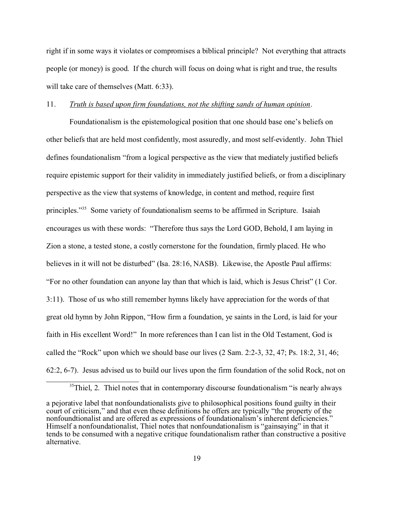right if in some ways it violates or compromises a biblical principle? Not everything that attracts people (or money) is good. If the church will focus on doing what is right and true, the results will take care of themselves (Matt. 6:33).

## 11. *Truth is based upon firm foundations, not the shifting sands of human opinion*.

Foundationalism is the epistemological position that one should base one's beliefs on other beliefs that are held most confidently, most assuredly, and most self-evidently. John Thiel defines foundationalism "from a logical perspective as the view that mediately justified beliefs require epistemic support for their validity in immediately justified beliefs, or from a disciplinary perspective as the view that systems of knowledge, in content and method, require first principles."<sup>35</sup> Some variety of foundationalism seems to be affirmed in Scripture. Isaiah encourages us with these words: "Therefore thus says the Lord GOD, Behold, I am laying in Zion a stone, a tested stone, a costly cornerstone for the foundation, firmly placed. He who believes in it will not be disturbed" (Isa. 28:16, NASB). Likewise, the Apostle Paul affirms: "For no other foundation can anyone lay than that which is laid, which is Jesus Christ" (1 Cor. 3:11). Those of us who still remember hymns likely have appreciation for the words of that great old hymn by John Rippon, "How firm a foundation, ye saints in the Lord, is laid for your faith in His excellent Word!" In more references than I can list in the Old Testament, God is called the "Rock" upon which we should base our lives (2 Sam. 2:2-3, 32, 47; Ps. 18:2, 31, 46; 62:2, 6-7). Jesus advised us to build our lives upon the firm foundation of the solid Rock, not on

<sup>&</sup>lt;sup>35</sup>Thiel, 2. Thiel notes that in contemporary discourse foundationalism "is nearly always

a pejorative label that nonfoundationalists give to philosophical positions found guilty in their court of criticism," and that even these definitions he offers are typically "the property of the nonfoundtionalist and are offered as expressions of foundationalism's inherent deficiencies." Himself a nonfoundationalist, Thiel notes that nonfoundationalism is "gainsaying" in that it tends to be consumed with a negative critique foundationalism rather than constructive a positive alternative.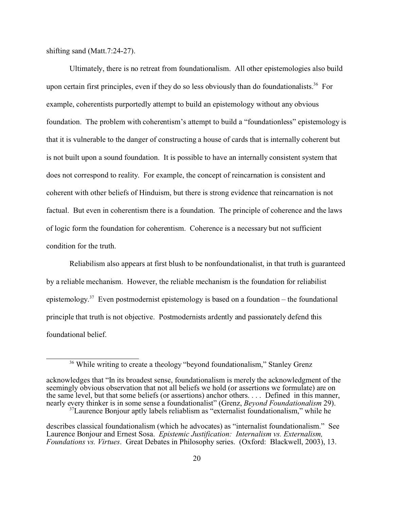shifting sand (Matt.7:24-27).

Ultimately, there is no retreat from foundationalism. All other epistemologies also build upon certain first principles, even if they do so less obviously than do foundationalists.<sup>36</sup> For example, coherentists purportedly attempt to build an epistemology without any obvious foundation. The problem with coherentism's attempt to build a "foundationless" epistemology is that it is vulnerable to the danger of constructing a house of cards that is internally coherent but is not built upon a sound foundation. It is possible to have an internally consistent system that does not correspond to reality. For example, the concept of reincarnation is consistent and coherent with other beliefs of Hinduism, but there is strong evidence that reincarnation is not factual. But even in coherentism there is a foundation. The principle of coherence and the laws of logic form the foundation for coherentism. Coherence is a necessary but not sufficient condition for the truth.

Reliabilism also appears at first blush to be nonfoundationalist, in that truth is guaranteed by a reliable mechanism. However, the reliable mechanism is the foundation for reliabilist epistemology.<sup>37</sup> Even postmodernist epistemology is based on a foundation – the foundational principle that truth is not objective. Postmodernists ardently and passionately defend this foundational belief.

<sup>&</sup>lt;sup>36</sup> While writing to create a theology "beyond foundationalism," Stanley Grenz

acknowledges that "In its broadest sense, foundationalism is merely the acknowledgment of the seemingly obvious observation that not all beliefs we hold (or assertions we formulate) are on the same level, but that some beliefs (or assertions) anchor others. . . . Defined in this manner, nearly every thinker is in some sense a foundationalist" (Grenz, *Beyond Foundationalism* 29). <sup>37</sup>Laurence Bonjour aptly labels reliablism as "externalist foundationalism," while he

describes classical foundationalism (which he advocates) as "internalist foundationalism." See Laurence Bonjour and Ernest Sosa. *Epistemic Justification: Internalism vs. Externalism, Foundations vs. Virtues*. Great Debates in Philosophy series. (Oxford: Blackwell, 2003), 13.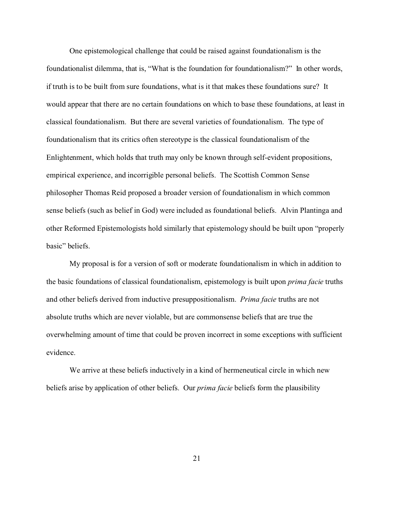One epistemological challenge that could be raised against foundationalism is the foundationalist dilemma, that is, "What is the foundation for foundationalism?" In other words, if truth is to be built from sure foundations, what is it that makes these foundations sure? It would appear that there are no certain foundations on which to base these foundations, at least in classical foundationalism. But there are several varieties of foundationalism. The type of foundationalism that its critics often stereotype is the classical foundationalism of the Enlightenment, which holds that truth may only be known through self-evident propositions, empirical experience, and incorrigible personal beliefs. The Scottish Common Sense philosopher Thomas Reid proposed a broader version of foundationalism in which common sense beliefs (such as belief in God) were included as foundational beliefs. Alvin Plantinga and other Reformed Epistemologists hold similarly that epistemology should be built upon "properly basic" beliefs.

My proposal is for a version of soft or moderate foundationalism in which in addition to the basic foundations of classical foundationalism, epistemology is built upon *prima facie* truths and other beliefs derived from inductive presuppositionalism. *Prima facie* truths are not absolute truths which are never violable, but are commonsense beliefs that are true the overwhelming amount of time that could be proven incorrect in some exceptions with sufficient evidence.

We arrive at these beliefs inductively in a kind of hermeneutical circle in which new beliefs arise by application of other beliefs. Our *prima facie* beliefs form the plausibility

21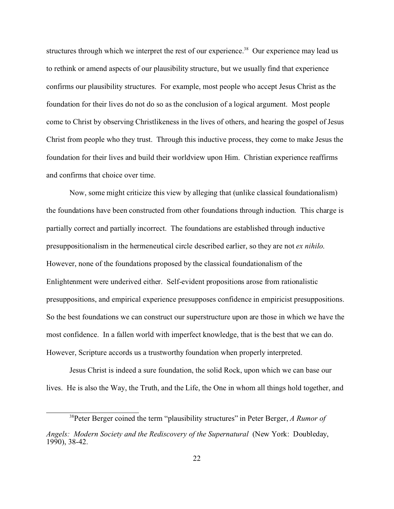structures through which we interpret the rest of our experience.<sup>38</sup> Our experience may lead us to rethink or amend aspects of our plausibility structure, but we usually find that experience confirms our plausibility structures. For example, most people who accept Jesus Christ as the foundation for their lives do not do so as the conclusion of a logical argument. Most people come to Christ by observing Christlikeness in the lives of others, and hearing the gospel of Jesus Christ from people who they trust. Through this inductive process, they come to make Jesus the foundation for their lives and build their worldview upon Him. Christian experience reaffirms and confirms that choice over time.

Now, some might criticize this view by alleging that (unlike classical foundationalism) the foundations have been constructed from other foundations through induction. This charge is partially correct and partially incorrect. The foundations are established through inductive presuppositionalism in the hermeneutical circle described earlier, so they are not *ex nihilo*. However, none of the foundations proposed by the classical foundationalism of the Enlightenment were underived either. Self-evident propositions arose from rationalistic presuppositions, and empirical experience presupposes confidence in empiricist presuppositions. So the best foundations we can construct our superstructure upon are those in which we have the most confidence. In a fallen world with imperfect knowledge, that is the best that we can do. However, Scripture accords us a trustworthy foundation when properly interpreted.

Jesus Christ is indeed a sure foundation, the solid Rock, upon which we can base our lives. He is also the Way, the Truth, and the Life, the One in whom all things hold together, and

<sup>38</sup>Peter Berger coined the term "plausibility structures" in Peter Berger, *A Rumor of*

*Angels: Modern Society and the Rediscovery of the Supernatural* (New York: Doubleday, 1990), 38-42.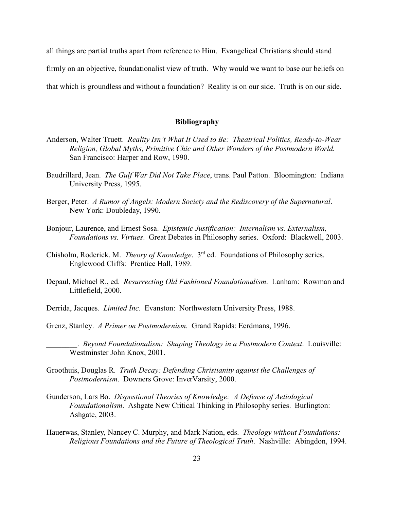all things are partial truths apart from reference to Him. Evangelical Christians should stand firmly on an objective, foundationalist view of truth. Why would we want to base our beliefs on that which is groundless and without a foundation? Reality is on our side. Truth is on our side.

### **Bibliography**

- Anderson, Walter Truett. *Reality Isn't What It Used to Be: Theatrical Politics, Ready-to-Wear Religion, Global Myths, Primitive Chic and Other Wonders of the Postmodern World.* San Francisco: Harper and Row, 1990.
- Baudrillard, Jean. *The Gulf War Did Not Take Place*, trans. Paul Patton. Bloomington: Indiana University Press, 1995.
- Berger, Peter. *A Rumor of Angels: Modern Society and the Rediscovery of the Supernatural*. New York: Doubleday, 1990.
- Bonjour, Laurence, and Ernest Sosa. *Epistemic Justification: Internalism vs. Externalism, Foundations vs. Virtues*. Great Debates in Philosophy series. Oxford: Blackwell, 2003.
- Chisholm, Roderick. M. *Theory of Knowledge*. 3rd ed. Foundations of Philosophy series. Englewood Cliffs: Prentice Hall, 1989.
- Depaul, Michael R., ed. *Resurrecting Old Fashioned Foundationalism*. Lanham: Rowman and Littlefield, 2000.
- Derrida, Jacques. *Limited Inc*. Evanston: Northwestern University Press, 1988.
- Grenz, Stanley. *A Primer on Postmodernism*. Grand Rapids: Eerdmans, 1996.

- Groothuis, Douglas R. *Truth Decay: Defending Christianity against the Challenges of Postmodernism*. Downers Grove: InverVarsity, 2000.
- Gunderson, Lars Bo. *Dispostional Theories of Knowledge: A Defense of Aetiological Foundationalism*. Ashgate New Critical Thinking in Philosophy series. Burlington: Ashgate, 2003.
- Hauerwas, Stanley, Nancey C. Murphy, and Mark Nation, eds. *Theology without Foundations: Religious Foundations and the Future of Theological Truth*. Nashville: Abingdon, 1994.

\_\_\_\_\_\_\_\_. *Beyond Foundationalism: Shaping Theology in a Postmodern Context*. Louisville: Westminster John Knox, 2001.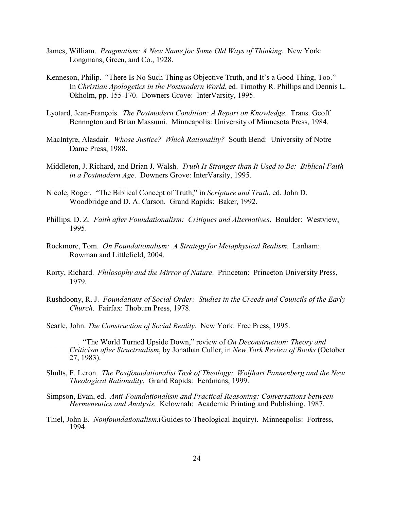- James, William. *Pragmatism: A New Name for Some Old Ways of Thinking*. New York: Longmans, Green, and Co., 1928.
- Kenneson, Philip. "There Is No Such Thing as Objective Truth, and It's a Good Thing, Too." In *Christian Apologetics in the Postmodern World*, ed. Timothy R. Phillips and Dennis L. Okholm, pp. 155-170. Downers Grove: InterVarsity, 1995.
- Lyotard, Jean-François. *The Postmodern Condition: A Report on Knowledge*. Trans. Geoff Bennngton and Brian Massumi. Minneapolis: University of Minnesota Press, 1984.
- MacIntyre, Alasdair. *Whose Justice? Which Rationality?* South Bend: University of Notre Dame Press, 1988.
- Middleton, J. Richard, and Brian J. Walsh. *Truth Is Stranger than It Used to Be: Biblical Faith in a Postmodern Age*. Downers Grove: InterVarsity, 1995.
- Nicole, Roger. "The Biblical Concept of Truth," in *Scripture and Truth*, ed. John D. Woodbridge and D. A. Carson. Grand Rapids: Baker, 1992.
- Phillips. D. Z. *Faith after Foundationalism: Critiques and Alternatives*. Boulder: Westview, 1995.
- Rockmore, Tom. *On Foundationalism: A Strategy for Metaphysical Realism*. Lanham: Rowman and Littlefield, 2004.
- Rorty, Richard. *Philosophy and the Mirror of Nature*. Princeton: Princeton University Press, 1979.
- Rushdoony, R. J. *Foundations of Social Order: Studies in the Creeds and Councils of the Early Church*. Fairfax: Thoburn Press, 1978.
- Searle, John. *The Construction of Social Reality*. New York: Free Press, 1995.
- \_\_\_\_\_\_\_\_. "The World Turned Upside Down," review of *On Deconstruction: Theory and Criticism after Structrualism*, by Jonathan Culler, in *New York Review of Books* (October 27, 1983).
- Shults, F. Leron. *The Postfoundationalist Task of Theology: Wolfhart Pannenberg and the New Theological Rationality*. Grand Rapids: Eerdmans, 1999.
- Simpson, Evan, ed. *Anti-Foundationalism and Practical Reasoning: Conversations between Hermeneutics and Analysis*. Kelownah: Academic Printing and Publishing, 1987.
- Thiel, John E. *Nonfoundationalism*.(Guides to Theological Inquiry). Minneapolis: Fortress, 1994.